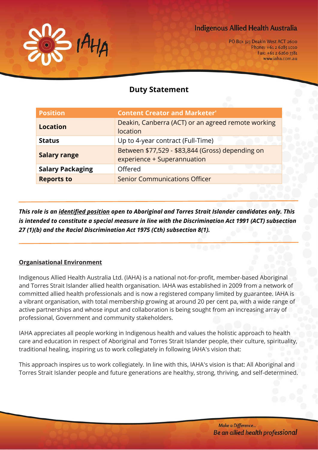

# **Indigenous Allied Health Australia**

PO Box 323 Deakin West ACT 2600 Phone: +61 2 6285 1010 Fax: +61 2 6260 5581 www.iaha.com.au

# **Duty Statement**

| <b>Position</b>         | <b>Content Creator and Marketer'</b>                                            |
|-------------------------|---------------------------------------------------------------------------------|
| <b>Location</b>         | Deakin, Canberra (ACT) or an agreed remote working<br>location                  |
| <b>Status</b>           | Up to 4-year contract (Full-Time)                                               |
| <b>Salary range</b>     | Between \$77,529 - \$83,844 (Gross) depending on<br>experience + Superannuation |
| <b>Salary Packaging</b> | Offered                                                                         |
| <b>Reports to</b>       | <b>Senior Communications Officer</b>                                            |

*This role is an identified position open to Aboriginal and Torres Strait Islander candidates only. This is intended to constitute a special measure in line with the Discrimination Act 1991 (ACT) subsection 27 (1)(b) and the Racial Discrimination Act 1975 (Cth) subsection 8(1).*

### **Organisational Environment**

Indigenous Allied Health Australia Ltd. (IAHA) is a national not-for-profit, member-based Aboriginal and Torres Strait Islander allied health organisation. IAHA was established in 2009 from a network of committed allied health professionals and is now a registered company limited by guarantee. IAHA is a vibrant organisation, with total membership growing at around 20 per cent pa, with a wide range of active partnerships and whose input and collaboration is being sought from an increasing array of professional, Government and community stakeholders.

IAHA appreciates all people working in Indigenous health and values the holistic approach to health care and education in respect of Aboriginal and Torres Strait Islander people, their culture, spirituality, traditional healing, inspiring us to work collegiately in following IAHA's vision that:

This approach inspires us to work collegiately. In line with this, IAHA's vision is that: All Aboriginal and Torres Strait Islander people and future generations are healthy, strong, thriving, and self-determined.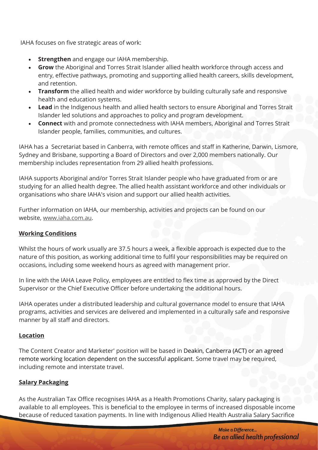IAHA focuses on five strategic areas of work:

- **Strengthen** and engage our IAHA membership.
- **Grow** the Aboriginal and Torres Strait Islander allied health workforce through access and entry, effective pathways, promoting and supporting allied health careers, skills development, and retention.
- **Transform** the allied health and wider workforce by building culturally safe and responsive health and education systems.
- **Lead** in the Indigenous health and allied health sectors to ensure Aboriginal and Torres Strait Islander led solutions and approaches to policy and program development.
- **Connect** with and promote connectedness with IAHA members, Aboriginal and Torres Strait Islander people, families, communities, and cultures.

IAHA has a Secretariat based in Canberra, with remote offices and staff in Katherine, Darwin, Lismore, Sydney and Brisbane, supporting a Board of Directors and over 2,000 members nationally. Our membership includes representation from 29 allied health professions.

IAHA supports Aboriginal and/or Torres Strait Islander people who have graduated from or are studying for an allied health degree. The allied health assistant workforce and other individuals or organisations who share IAHA's vision and support our allied health activities.

Further information on IAHA, our membership, activities and projects can be found on our website, [www.iaha.com.au.](http://www.iaha.com.au/)

## **Working Conditions**

Whilst the hours of work usually are 37.5 hours a week, a flexible approach is expected due to the nature of this position, as working additional time to fulfil your responsibilities may be required on occasions, including some weekend hours as agreed with management prior.

In line with the IAHA Leave Policy, employees are entitled to flex time as approved by the Direct Supervisor or the Chief Executive Officer before undertaking the additional hours.

IAHA operates under a distributed leadership and cultural governance model to ensure that IAHA programs, activities and services are delivered and implemented in a culturally safe and responsive manner by all staff and directors.

### **Location**

The Content Creator and Marketer' position will be based in Deakin, Canberra (ACT) or an agreed remote working location dependent on the successful applicant. Some travel may be required, including remote and interstate travel.

## **Salary Packaging**

As the Australian Tax Office recognises IAHA as a Health Promotions Charity, salary packaging is available to all employees. This is beneficial to the employee in terms of increased disposable income because of reduced taxation payments. In line with Indigenous Allied Health Australia Salary Sacrifice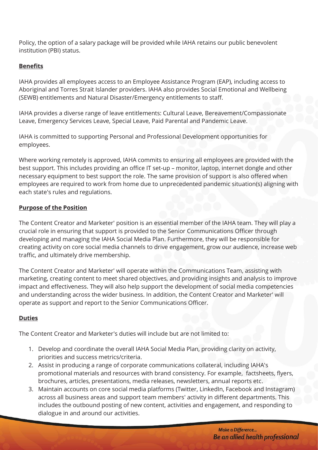Policy, the option of a salary package will be provided while IAHA retains our public benevolent institution (PBI) status.

#### **Benefits**

IAHA provides all employees access to an Employee Assistance Program (EAP), including access to Aboriginal and Torres Strait Islander providers. IAHA also provides Social Emotional and Wellbeing (SEWB) entitlements and Natural Disaster/Emergency entitlements to staff.

IAHA provides a diverse range of leave entitlements: Cultural Leave, Bereavement/Compassionate Leave, Emergency Services Leave, Special Leave, Paid Parental and Pandemic Leave.

IAHA is committed to supporting Personal and Professional Development opportunities for employees.

Where working remotely is approved, IAHA commits to ensuring all employees are provided with the best support. This includes providing an office IT set-up – monitor, laptop, internet dongle and other necessary equipment to best support the role. The same provision of support is also offered when employees are required to work from home due to unprecedented pandemic situation(s) aligning with each state's rules and regulations.

#### **Purpose of the Position**

The Content Creator and Marketer' position is an essential member of the IAHA team. They will play a crucial role in ensuring that support is provided to the Senior Communications Officer through developing and managing the IAHA Social Media Plan. Furthermore, they will be responsible for creating activity on core social media channels to drive engagement, grow our audience, increase web traffic, and ultimately drive membership.

The Content Creator and Marketer' will operate within the Communications Team, assisting with marketing, creating content to meet shared objectives, and providing insights and analysis to improve impact and effectiveness. They will also help support the development of social media competencies and understanding across the wider business. In addition, the Content Creator and Marketer' will operate as support and report to the Senior Communications Officer.

### **Duties**

The Content Creator and Marketer's duties will include but are not limited to:

- 1. Develop and coordinate the overall IAHA Social Media Plan, providing clarity on activity, priorities and success metrics/criteria.
- 2. Assist in producing a range of corporate communications collateral, including IAHA's promotional materials and resources with brand consistency. For example, factsheets, flyers, brochures, articles, presentations, media releases, newsletters, annual reports etc.
- 3. Maintain accounts on core social media platforms (Twitter, LinkedIn, Facebook and Instagram) across all business areas and support team members' activity in different departments. This includes the outbound posting of new content, activities and engagement, and responding to dialogue in and around our activities.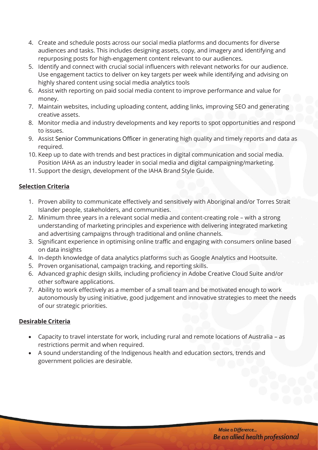- 4. Create and schedule posts across our social media platforms and documents for diverse audiences and tasks. This includes designing assets, copy, and imagery and identifying and repurposing posts for high-engagement content relevant to our audiences.
- 5. Identify and connect with crucial social influencers with relevant networks for our audience. Use engagement tactics to deliver on key targets per week while identifying and advising on highly shared content using social media analytics tools
- 6. Assist with reporting on paid social media content to improve performance and value for money.
- 7. Maintain websites, including uploading content, adding links, improving SEO and generating creative assets.
- 8. Monitor media and industry developments and key reports to spot opportunities and respond to issues.
- 9. Assist Senior Communications Officer in generating high quality and timely reports and data as required.
- 10. Keep up to date with trends and best practices in digital communication and social media. Position IAHA as an industry leader in social media and digital campaigning/marketing.
- 11. Support the design, development of the IAHA Brand Style Guide.

## **Selection Criteria**

- 1. Proven ability to communicate effectively and sensitively with Aboriginal and/or Torres Strait Islander people, stakeholders, and communities.
- 2. Minimum three years in a relevant social media and content-creating role with a strong understanding of marketing principles and experience with delivering integrated marketing and advertising campaigns through traditional and online channels.
- 3. Significant experience in optimising online traffic and engaging with consumers online based on data insights
- 4. In-depth knowledge of data analytics platforms such as Google Analytics and Hootsuite.
- 5. Proven organisational, campaign tracking, and reporting skills.
- 6. Advanced graphic design skills, including proficiency in Adobe Creative Cloud Suite and/or other software applications.
- 7. Ability to work effectively as a member of a small team and be motivated enough to work autonomously by using initiative, good judgement and innovative strategies to meet the needs of our strategic priorities.

## **Desirable Criteria**

- Capacity to travel interstate for work, including rural and remote locations of Australia as restrictions permit and when required.
- A sound understanding of the Indigenous health and education sectors, trends and government policies are desirable.